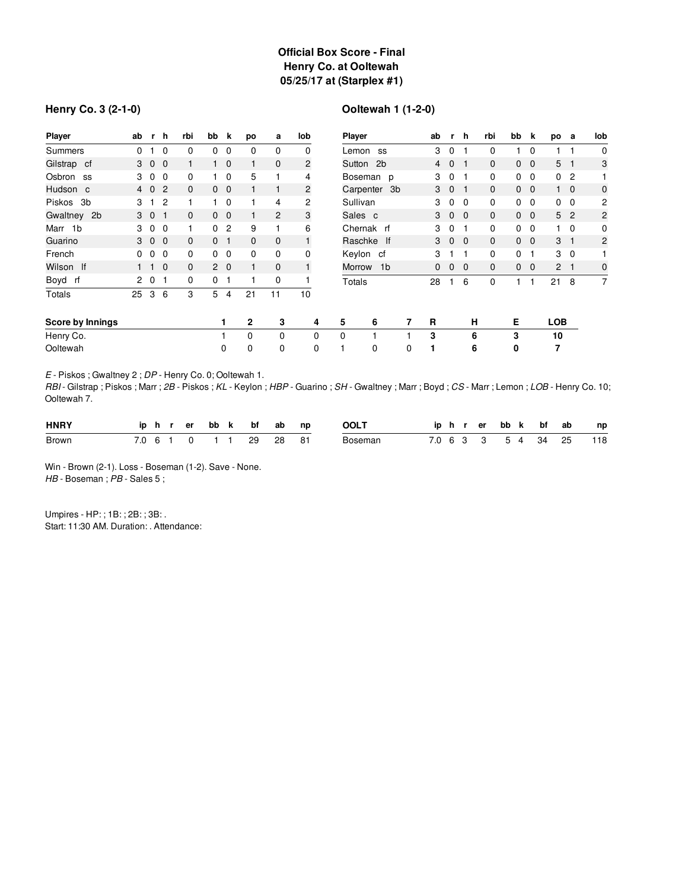## **Official Box Score - Final Henry Co. at Ooltewah 05/25/17 at (Starplex #1)**

### **Henry Co. 3 (2-1-0)**

# **Ooltewah 1 (1-2-0)**

| Player                  | ab             |                | r h            | rbi          | bb             | k              | po           | a              | lob            | Player       |                |   | ab             | r.             | h.           | rbi          | bb             | k              | po              | а              | lob            |
|-------------------------|----------------|----------------|----------------|--------------|----------------|----------------|--------------|----------------|----------------|--------------|----------------|---|----------------|----------------|--------------|--------------|----------------|----------------|-----------------|----------------|----------------|
| Summers                 | 0              |                | $\Omega$       | 0            | 0              | 0              | 0            | 0              | $\mathbf 0$    | Lemon        | <b>SS</b>      |   | 3              | 0              |              | 0            |                | 0              |                 |                | $\mathbf 0$    |
| Gilstrap cf             | 3              | $\overline{0}$ | $\overline{0}$ |              |                | $\overline{0}$ |              | $\mathbf 0$    | $\overline{c}$ | Sutton       | 2 <sub>b</sub> |   | 4              | $\mathbf{0}$   |              | $\mathbf{0}$ | 0              | $\mathbf{0}$   | $5\overline{)}$ | -1             | 3              |
| Osbron<br>SS            | 3              | $\mathbf 0$    | $\Omega$       | 0            |                | $\overline{0}$ | 5            |                | 4              | Boseman p    |                |   | 3              | $\mathbf 0$    |              | $\Omega$     | 0              | $\mathbf 0$    | 0               | $\overline{c}$ |                |
| Hudson c                | 4              | $\mathbf 0$    | $\overline{c}$ | $\mathbf{0}$ | $\mathbf{0}$   | $\overline{0}$ |              |                | 2              | Carpenter 3b |                |   | 3              | $\mathbf 0$    |              | $\mathbf{0}$ | $\mathbf{0}$   | $\mathbf 0$    | 1               | $\mathbf 0$    | $\mathbf 0$    |
| Piskos<br>3b            | 3              |                | $\overline{2}$ |              |                | $\overline{0}$ |              | 4              | 2              | Sullivan     |                |   | 3              | 0              | 0            | 0            | 0              | $\mathbf 0$    | 0               | 0              | 2              |
| Gwaltney 2b             |                | 3 0 1          |                | 0            |                | $0\quad 0$     |              | $\overline{2}$ | 3              | Sales c      |                | 3 | $\mathbf{0}$   | $\overline{0}$ | $\mathbf{0}$ |              | $0\quad 0$     | 5 <sup>5</sup> | $\overline{2}$  | $\overline{c}$ |                |
| Marr 1b                 | 3              | $\mathbf 0$    | $\overline{0}$ |              | 0              | $\overline{c}$ | 9            |                | 6              | Chernak rf   |                | 3 | $\mathbf 0$    |                | 0            | 0            | $\mathbf{0}$   |                | $\mathbf 0$     | 0              |                |
| Guarino                 |                | 3 0 0          |                | $\mathbf{0}$ | 0 <sub>1</sub> |                | $\mathbf{0}$ | $\mathbf{0}$   | $\mathbf{1}$   | Raschke If   |                | 3 | $\overline{0}$ | $\Omega$       | $\mathbf{0}$ | $\mathbf{0}$ | $\overline{0}$ | 3              | $\overline{1}$  | 2              |                |
| French                  | 0              | 0              | $\Omega$       | 0            | 0              | $\mathbf 0$    | 0            | 0              | 0              | Keylon cf    |                |   | 3              |                |              | 0            | 0              | 1              | 3               | 0              |                |
| Wilson If               |                |                | $\Omega$       | $\mathbf{0}$ |                | $2\quad 0$     |              | $\mathbf{0}$   | $\mathbf{1}$   | Morrow       | 1b             |   | $\Omega$       | $\mathbf{0}$   | $\Omega$     | $\mathbf{0}$ | $\mathbf{0}$   | $\mathbf 0$    | $\overline{2}$  | -1             | 0              |
| Boyd rf                 | $\overline{c}$ | 0              | -1             | 0            | 0              |                |              | 0              |                | Totals       |                |   | 28             |                | 6            | 0            |                |                | 21              | 8              | $\overline{7}$ |
| Totals                  | 25             | 3              | 6              | 3            | 5              | 4              | 21           | 11             | 10             |              |                |   |                |                |              |              |                |                |                 |                |                |
| <b>Score by Innings</b> |                |                |                |              |                | 1              | $\mathbf{2}$ | 3              | 4              | 6<br>5       |                | 7 | R              |                | н            |              | Е              |                | <b>LOB</b>      |                |                |
| Henry Co.               |                |                |                |              |                |                | $\Omega$     | 0              | 0              | $\Omega$     |                |   | 3              |                | 6            |              | 3              |                | 10              |                |                |
| Ooltewah                |                |                |                |              |                | 0              | 0            | 0              | $\mathbf 0$    | 0            |                | 0 |                |                | 6            |              | 0              |                | 7               |                |                |

*E* - Piskos ; Gwaltney 2 ; *DP* - Henry Co. 0; Ooltewah 1.

*RBI* - Gilstrap ; Piskos ; Marr ; *2B* - Piskos ; *KL* - Keylon ; *HBP* - Guarino ; *SH* - Gwaltney ; Marr ; Boyd ; *CS* - Marr ; Lemon ; *LOB* - Henry Co. 10; Ooltewah 7.

| <b>HNRY</b>  |  |  |  | iphrerbbk bfab np      |  | <b>OOLT</b> |  |  |  |  | iphrerbbk bfab np       |
|--------------|--|--|--|------------------------|--|-------------|--|--|--|--|-------------------------|
| <b>Brown</b> |  |  |  | 7.0 6 1 0 1 1 29 28 81 |  | Boseman     |  |  |  |  | 7.0 6 3 3 5 4 34 25 118 |

Win - Brown (2-1). Loss - Boseman (1-2). Save - None. *HB* - Boseman ; *PB* - Sales 5 ;

Umpires - HP: ; 1B: ; 2B: ; 3B: . Start: 11:30 AM. Duration: . Attendance: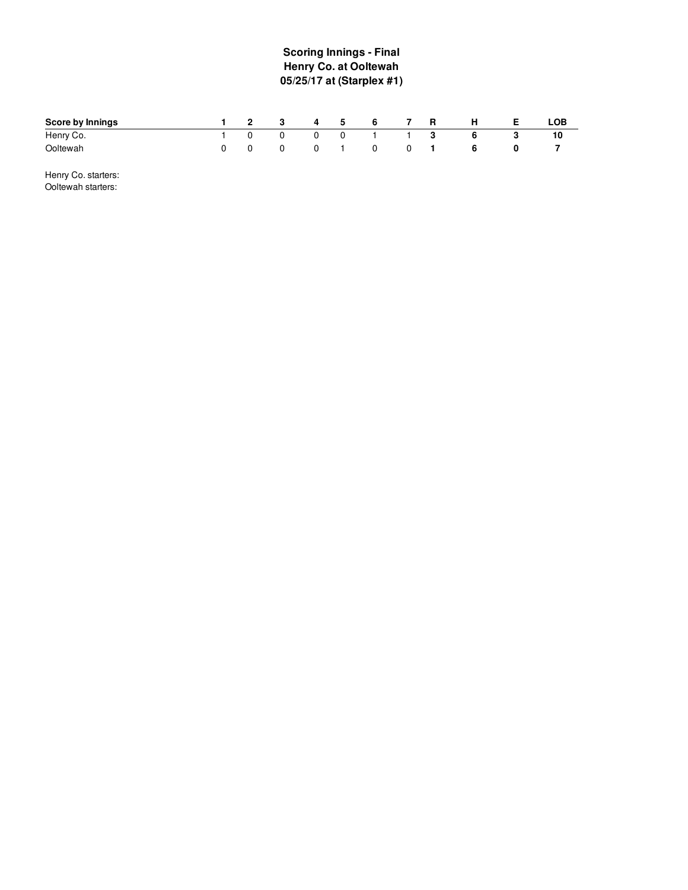## **S c o rin g In nin g s - Fin al Henry Co. at Ooltewah 05/25/17 at (Starplex #1 )**

| Score by Innings | $\sim$ 2 | 3           | 4 | 5           | 6 |   | R   | н | LOB |
|------------------|----------|-------------|---|-------------|---|---|-----|---|-----|
| Henry Co.        | $\Omega$ | $\mathbf 0$ |   | $\mathbf 0$ |   |   | - 3 |   |     |
| Ooltewah         |          | 0           |   |             | 0 | 0 |     |   |     |

Henry Co. starters: Ooltewah starters: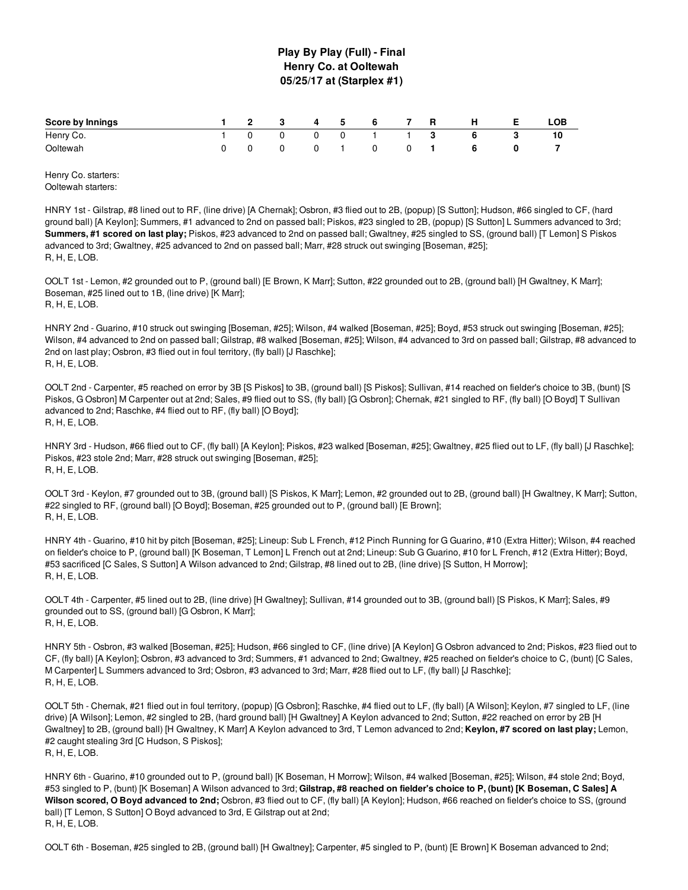### **Play By Play (Full) - Final Henry Co. at Ooltewah 05/25/17 at (Starplex #1)**

| Score by Innings |                 |          |  | 1 2 3 4 5 6 7 R |                | - H | LOB |
|------------------|-----------------|----------|--|-----------------|----------------|-----|-----|
| Henry Co.        | $\sim$ 0 $\sim$ | $\Omega$ |  | 0 1 1 3         |                |     |     |
| Ooltewah         |                 |          |  | 0               | $\overline{0}$ |     |     |

Henry Co. starters: Ooltewah starters:

HNRY 1st - Gilstrap, #8 lined out to RF, (line drive) [A Chernak]; Osbron, #3 flied out to 2B, (popup) [S Sutton]; Hudson, #66 singled to CF, (hard ground ball) [A Keylon]; Summers, #1 advanced to 2nd on passed ball; Piskos, #23 singled to 2B, (popup) [S Sutton] L Summers advanced to 3rd; **Summers, #1 scored on last play;** Piskos, #23 advanced to 2nd on passed ball; Gwaltney, #25 singled to SS, (ground ball) [T Lemon] S Piskos advanced to 3rd; Gwaltney, #25 advanced to 2nd on passed ball; Marr, #28 struck out swinging [Boseman, #25]; R, H, E, LOB.

OOLT 1st - Lemon, #2 grounded out to P, (ground ball) [E Brown, K Marr]; Sutton, #22 grounded out to 2B, (ground ball) [H Gwaltney, K Marr]; Boseman, #25 lined out to 1B, (line drive) [K Marr]; R, H, E, LOB.

HNRY 2nd - Guarino, #10 struck out swinging [Boseman, #25]; Wilson, #4 walked [Boseman, #25]; Boyd, #53 struck out swinging [Boseman, #25]; Wilson, #4 advanced to 2nd on passed ball; Gilstrap, #8 walked [Boseman, #25]; Wilson, #4 advanced to 3rd on passed ball; Gilstrap, #8 advanced to 2nd on last play; Osbron, #3 flied out in foul territory, (fly ball) [J Raschke]; R, H, E, LOB.

OOLT 2nd - Carpenter, #5 reached on error by 3B [S Piskos] to 3B, (ground ball) [S Piskos]; Sullivan, #14 reached on fielder's choice to 3B, (bunt) [S Piskos, G Osbron] M Carpenter out at 2nd; Sales, #9 flied out to SS, (fly ball) [G Osbron]; Chernak, #21 singled to RF, (fly ball) [O Boyd] T Sullivan advanced to 2nd; Raschke, #4 flied out to RF, (fly ball) [O Boyd]; R, H, E, LOB.

HNRY 3rd - Hudson, #66 flied out to CF, (fly ball) [A Keylon]; Piskos, #23 walked [Boseman, #25]; Gwaltney, #25 flied out to LF, (fly ball) [J Raschke]; Piskos, #23 stole 2nd; Marr, #28 struck out swinging [Boseman, #25]; R, H, E, LOB.

OOLT 3rd - Keylon, #7 grounded out to 3B, (ground ball) [S Piskos, K Marr]; Lemon, #2 grounded out to 2B, (ground ball) [H Gwaltney, K Marr]; Sutton, #22 singled to RF, (ground ball) [O Boyd]; Boseman, #25 grounded out to P, (ground ball) [E Brown]; R, H, E, LOB.

HNRY 4th - Guarino, #10 hit by pitch [Boseman, #25]; Lineup: Sub L French, #12 Pinch Running for G Guarino, #10 (Extra Hitter); Wilson, #4 reached on fielder's choice to P, (ground ball) [K Boseman, T Lemon] L French out at 2nd; Lineup: Sub G Guarino, #10 for L French, #12 (Extra Hitter); Boyd, #53 sacrificed [C Sales, S Sutton] A Wilson advanced to 2nd; Gilstrap, #8 lined out to 2B, (line drive) [S Sutton, H Morrow]; R, H, E, LOB.

OOLT 4th - Carpenter, #5 lined out to 2B, (line drive) [H Gwaltney]; Sullivan, #14 grounded out to 3B, (ground ball) [S Piskos, K Marr]; Sales, #9 grounded out to SS, (ground ball) [G Osbron, K Marr]; R, H, E, LOB.

HNRY 5th - Osbron, #3 walked [Boseman, #25]; Hudson, #66 singled to CF, (line drive) [A Keylon] G Osbron advanced to 2nd; Piskos, #23 flied out to CF, (fly ball) [A Keylon]; Osbron, #3 advanced to 3rd; Summers, #1 advanced to 2nd; Gwaltney, #25 reached on fielder's choice to C, (bunt) [C Sales, M Carpenter] L Summers advanced to 3rd; Osbron, #3 advanced to 3rd; Marr, #28 flied out to LF, (fly ball) [J Raschke]; R, H, E, LOB.

OOLT 5th - Chernak, #21 flied out in foul territory, (popup) [G Osbron]; Raschke, #4 flied out to LF, (fly ball) [A Wilson]; Keylon, #7 singled to LF, (line drive) [A Wilson]; Lemon, #2 singled to 2B, (hard ground ball) [H Gwaltney] A Keylon advanced to 2nd; Sutton, #22 reached on error by 2B [H Gwaltney] to 2B, (ground ball) [H Gwaltney, K Marr] A Keylon advanced to 3rd, T Lemon advanced to 2nd; **Keylon, #7 scored on last play;** Lemon, #2 caught stealing 3rd [C Hudson, S Piskos]; R, H, E, LOB.

HNRY 6th - Guarino, #10 grounded out to P, (ground ball) [K Boseman, H Morrow]; Wilson, #4 walked [Boseman, #25]; Wilson, #4 stole 2nd; Boyd, #53 singled to P. (bunt) [K Boseman] A Wilson advanced to 3rd: Gilstrap, #8 reached on fielder's choice to P, (bunt) [K Boseman, C Sales] A **Wilson scored, O Boyd advanced to 2nd;** Osbron, #3 flied out to CF, (fly ball) [A Keylon]; Hudson, #66 reached on fielder's choice to SS, (ground ball) [T Lemon, S Sutton] O Boyd advanced to 3rd, E Gilstrap out at 2nd; R, H, E, LOB.

OOLT 6th - Boseman, #25 singled to 2B, (ground ball) [H Gwaltney]; Carpenter, #5 singled to P, (bunt) [E Brown] K Boseman advanced to 2nd;